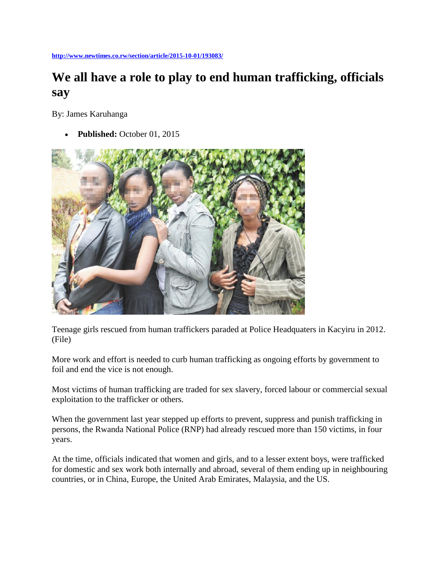**<http://www.newtimes.co.rw/section/article/2015-10-01/193083/>**

# **We all have a role to play to end human trafficking, officials say**

By: James Karuhanga

**Published:** October 01, 2015



Teenage girls rescued from human traffickers paraded at Police Headquaters in Kacyiru in 2012. (File)

More work and effort is needed to curb human trafficking as ongoing efforts by government to foil and end the vice is not enough.

Most victims of human trafficking are traded for sex slavery, forced labour or commercial sexual exploitation to the trafficker or others.

When the government last year stepped up efforts to prevent, suppress and punish trafficking in persons, the Rwanda National Police (RNP) had already rescued more than 150 victims, in four years.

At the time, officials indicated that women and girls, and to a lesser extent boys, were trafficked for domestic and sex work both internally and abroad, several of them ending up in neighbouring countries, or in China, Europe, the United Arab Emirates, Malaysia, and the US.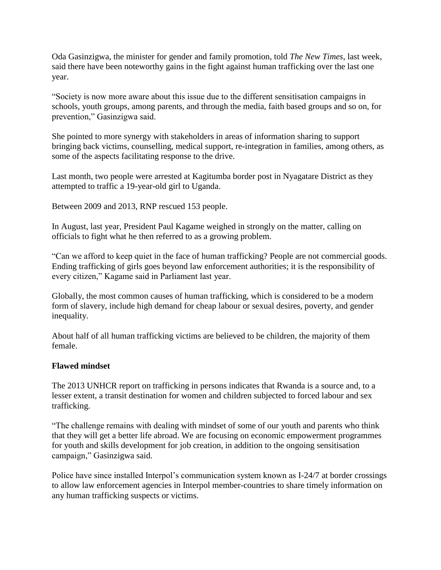Oda Gasinzigwa, the minister for gender and family promotion, told *The New Times*, last week, said there have been noteworthy gains in the fight against human trafficking over the last one year.

"Society is now more aware about this issue due to the different sensitisation campaigns in schools, youth groups, among parents, and through the media, faith based groups and so on, for prevention," Gasinzigwa said.

She pointed to more synergy with stakeholders in areas of information sharing to support bringing back victims, counselling, medical support, re-integration in families, among others, as some of the aspects facilitating response to the drive.

Last month, two people were arrested at Kagitumba border post in Nyagatare District as they attempted to traffic a 19-year-old girl to Uganda.

Between 2009 and 2013, RNP rescued 153 people.

In August, last year, President Paul Kagame weighed in strongly on the matter, calling on officials to fight what he then referred to as a growing problem.

"Can we afford to keep quiet in the face of human trafficking? People are not commercial goods. Ending trafficking of girls goes beyond law enforcement authorities; it is the responsibility of every citizen," Kagame said in Parliament last year.

Globally, the most common causes of human trafficking, which is considered to be a modern form of slavery, include high demand for cheap labour or sexual desires, poverty, and gender inequality.

About half of all human trafficking victims are believed to be children, the majority of them female.

# **Flawed mindset**

The 2013 UNHCR report on trafficking in persons indicates that Rwanda is a source and, to a lesser extent, a transit destination for women and children subjected to forced labour and sex trafficking.

"The challenge remains with dealing with mindset of some of our youth and parents who think that they will get a better life abroad. We are focusing on economic empowerment programmes for youth and skills development for job creation, in addition to the ongoing sensitisation campaign," Gasinzigwa said.

Police have since installed Interpol's communication system known as I-24/7 at border crossings to allow law enforcement agencies in Interpol member-countries to share timely information on any human trafficking suspects or victims.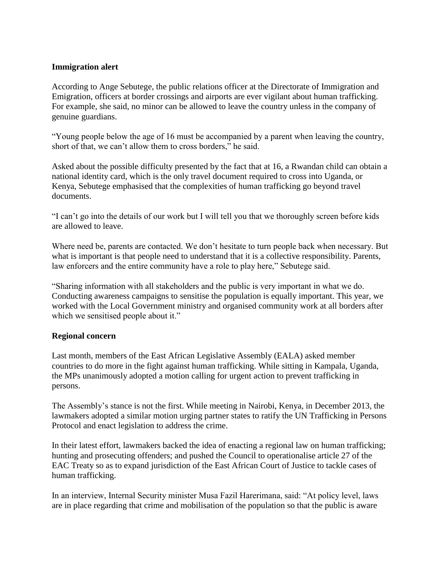# **Immigration alert**

According to Ange Sebutege, the public relations officer at the Directorate of Immigration and Emigration, officers at border crossings and airports are ever vigilant about human trafficking. For example, she said, no minor can be allowed to leave the country unless in the company of genuine guardians.

"Young people below the age of 16 must be accompanied by a parent when leaving the country, short of that, we can't allow them to cross borders," he said.

Asked about the possible difficulty presented by the fact that at 16, a Rwandan child can obtain a national identity card, which is the only travel document required to cross into Uganda, or Kenya, Sebutege emphasised that the complexities of human trafficking go beyond travel documents.

"I can't go into the details of our work but I will tell you that we thoroughly screen before kids are allowed to leave.

Where need be, parents are contacted. We don't hesitate to turn people back when necessary. But what is important is that people need to understand that it is a collective responsibility. Parents, law enforcers and the entire community have a role to play here," Sebutege said.

"Sharing information with all stakeholders and the public is very important in what we do. Conducting awareness campaigns to sensitise the population is equally important. This year, we worked with the Local Government ministry and organised community work at all borders after which we sensitised people about it."

# **Regional concern**

Last month, members of the East African Legislative Assembly (EALA) asked member countries to do more in the fight against human trafficking. While sitting in Kampala, Uganda, the MPs unanimously adopted a motion calling for urgent action to prevent trafficking in persons.

The Assembly's stance is not the first. While meeting in Nairobi, Kenya, in December 2013, the lawmakers adopted a similar motion urging partner states to ratify the UN Trafficking in Persons Protocol and enact legislation to address the crime.

In their latest effort, lawmakers backed the idea of enacting a regional law on human trafficking; hunting and prosecuting offenders; and pushed the Council to operationalise article 27 of the EAC Treaty so as to expand jurisdiction of the East African Court of Justice to tackle cases of human trafficking.

In an interview, Internal Security minister Musa Fazil Harerimana, said: "At policy level, laws are in place regarding that crime and mobilisation of the population so that the public is aware